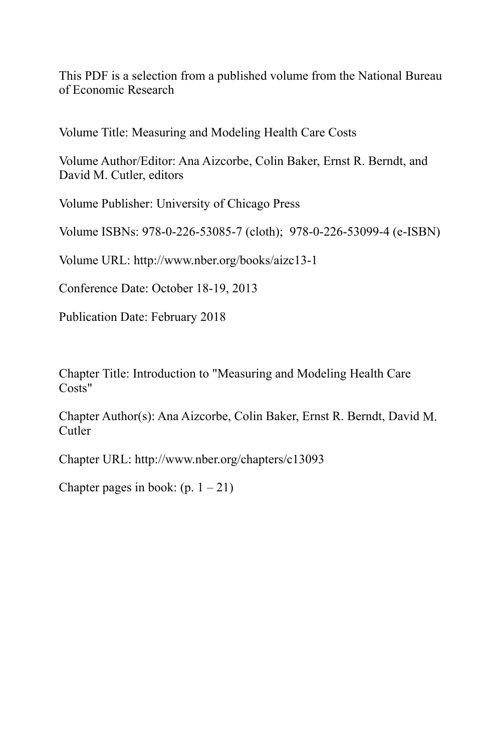This PDF is a selection from a published volume from the National Bureau of Economic Research

Volume Title: Measuring and Modeling Health Care Costs

Volume Author/Editor: Ana Aizcorbe, Colin Baker, Ernst R. Berndt, and David M. Cutler, editors

Volume Publisher: University of Chicago Press

Volume ISBNs: 978-0-226-53085-7 (cloth); 978-0-226-53099-4 (e-ISBN)

Volume URL: http://www.nber.org/books/aizc13-1

Conference Date: October 18-19, 2013

Publication Date: February 2018

Chapter Title: Introduction to "Measuring and Modeling Health Care Costs"

Chapter Author(s): Ana Aizcorbe, Colin Baker, Ernst R. Berndt, David M. Cutler

Chapter URL: http://www.nber.org/chapters/c13093

Chapter pages in book:  $(p. 1 - 21)$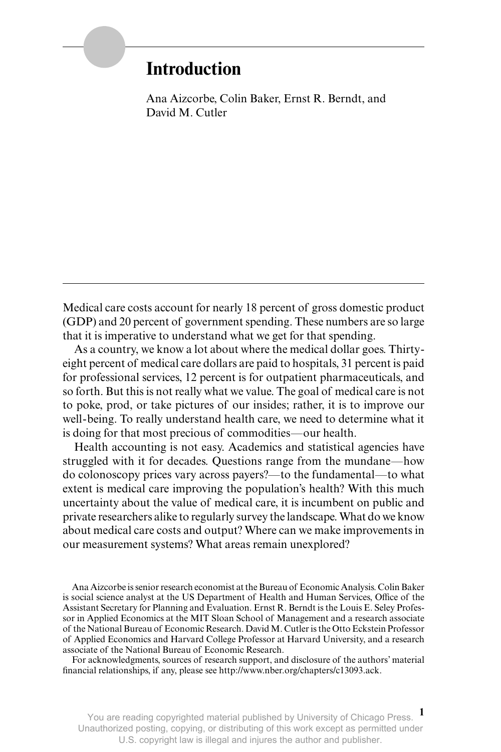# **Introduction**

Ana Aizcorbe, Colin Baker, Ernst R. Berndt, and David M. Cutler

Medical care costs account for nearly 18 percent of gross domestic product (GDP) and 20 percent of government spending. These numbers are so large that it is imperative to understand what we get for that spending.

As a country, we know a lot about where the medical dollar goes. Thirtyeight percent of medical care dollars are paid to hospitals, 31 percent is paid for professional services, 12 percent is for outpatient pharmaceuticals, and so forth. But this is not really what we value. The goal of medical care is not to poke, prod, or take pictures of our insides; rather, it is to improve our well- being. To really understand health care, we need to determine what it is doing for that most precious of commodities—our health.

Health accounting is not easy. Academics and statistical agencies have struggled with it for decades. Questions range from the mundane—how do colonoscopy prices vary across payers?—to the fundamental—to what extent is medical care improving the population's health? With this much uncertainty about the value of medical care, it is incumbent on public and private researchers alike to regularly survey the landscape. What do we know about medical care costs and output? Where can we make improvements in our measurement systems? What areas remain unexplored?

Ana Aizcorbe is senior research economist at the Bureau of Economic Analysis. Colin Baker is social science analyst at the US Department of Health and Human Services, Office of the Assistant Secretary for Planning and Evaluation. Ernst R. Berndt is the Louis E. Seley Professor in Applied Economics at the MIT Sloan School of Management and a research associate of the National Bureau of Economic Research. David M. Cutler is the Otto Eckstein Professor of Applied Economics and Harvard College Professor at Harvard University, and a research associate of the National Bureau of Economic Research.

For acknowledgments, sources of research support, and disclosure of the authors' material financial relationships, if any, please see http://www.nber.org/chapters/c13093.ack.

**1** You are reading copyrighted material published by University of Chicago Press. Unauthorized posting, copying, or distributing of this work except as permitted under U.S. copyright law is illegal and injures the author and publisher.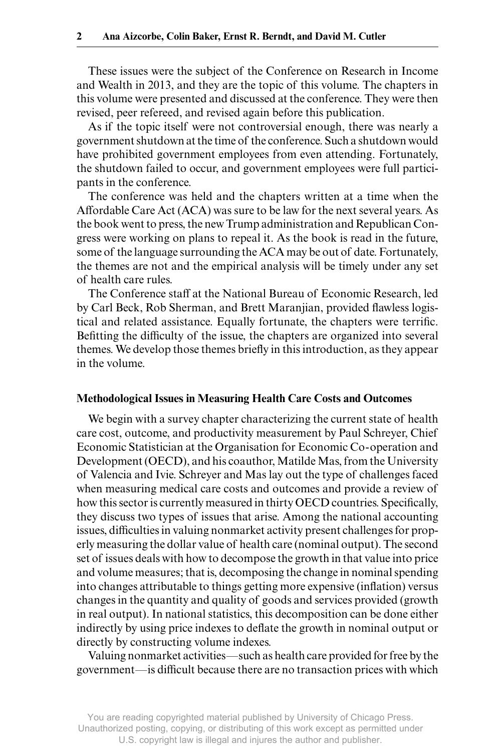These issues were the subject of the Conference on Research in Income and Wealth in 2013, and they are the topic of this volume. The chapters in this volume were presented and discussed at the conference. They were then revised, peer refereed, and revised again before this publication.

As if the topic itself were not controversial enough, there was nearly a government shutdown at the time of the conference. Such a shutdown would have prohibited government employees from even attending. Fortunately, the shutdown failed to occur, and government employees were full participants in the conference.

The conference was held and the chapters written at a time when the Affordable Care Act (ACA) was sure to be law for the next several years. As the book went to press, the new Trump administration and Republican Congress were working on plans to repeal it. As the book is read in the future, some of the language surrounding the ACA may be out of date. Fortunately, the themes are not and the empirical analysis will be timely under any set of health care rules.

The Conference staff at the National Bureau of Economic Research, led by Carl Beck, Rob Sherman, and Brett Maranjian, provided flawless logistical and related assistance. Equally fortunate, the chapters were terrific. Befitting the difficulty of the issue, the chapters are organized into several themes. We develop those themes briefly in this introduction, as they appear in the volume.

### **Methodological Issues in Measuring Health Care Costs and Outcomes**

We begin with a survey chapter characterizing the current state of health care cost, outcome, and productivity measurement by Paul Schreyer, Chief Economic Statistician at the Organisation for Economic Co- operation and Development (OECD), and his coauthor, Matilde Mas, from the University of Valencia and Ivie. Schreyer and Mas lay out the type of challenges faced when measuring medical care costs and outcomes and provide a review of how this sector is currently measured in thirty OECD countries. Specifically, they discuss two types of issues that arise. Among the national accounting issues, difficulties in valuing nonmarket activity present challenges for properly measuring the dollar value of health care (nominal output). The second set of issues deals with how to decompose the growth in that value into price and volume measures; that is, decomposing the change in nominal spending into changes attributable to things getting more expensive (inflation) versus changes in the quantity and quality of goods and services provided (growth in real output). In national statistics, this decomposition can be done either indirectly by using price indexes to deflate the growth in nominal output or directly by constructing volume indexes.

Valuing nonmarket activities—such as health care provided for free by the government—is difficult because there are no transaction prices with which

You are reading copyrighted material published by University of Chicago Press. Unauthorized posting, copying, or distributing of this work except as permitted under U.S. copyright law is illegal and injures the author and publisher.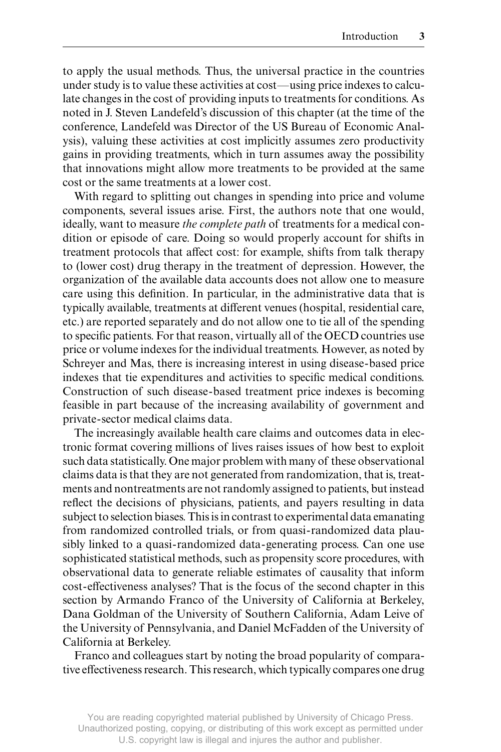to apply the usual methods. Thus, the universal practice in the countries under study is to value these activities at cost—using price indexes to calculate changes in the cost of providing inputs to treatments for conditions. As noted in J. Steven Landefeld's discussion of this chapter (at the time of the conference, Landefeld was Director of the US Bureau of Economic Analysis), valuing these activities at cost implicitly assumes zero productivity gains in providing treatments, which in turn assumes away the possibility that innovations might allow more treatments to be provided at the same cost or the same treatments at a lower cost.

With regard to splitting out changes in spending into price and volume components, several issues arise. First, the authors note that one would, ideally, want to measure *the complete path* of treatments for a medical condition or episode of care. Doing so would properly account for shifts in treatment protocols that affect cost: for example, shifts from talk therapy to (lower cost) drug therapy in the treatment of depression. However, the organization of the available data accounts does not allow one to measure care using this definition. In particular, in the administrative data that is typically available, treatments at different venues (hospital, residential care, etc.) are reported separately and do not allow one to tie all of the spending to specific patients. For that reason, virtually all of the OECD countries use price or volume indexes for the individual treatments. However, as noted by Schreyer and Mas, there is increasing interest in using disease- based price indexes that tie expenditures and activities to specific medical conditions. Construction of such disease- based treatment price indexes is becoming feasible in part because of the increasing availability of government and private- sector medical claims data.

The increasingly available health care claims and outcomes data in electronic format covering millions of lives raises issues of how best to exploit such data statistically. One major problem with many of these observational claims data is that they are not generated from randomization, that is, treatments and nontreatments are not randomly assigned to patients, but instead reflect the decisions of physicians, patients, and payers resulting in data subject to selection biases. This is in contrast to experimental data emanating from randomized controlled trials, or from quasi- randomized data plausibly linked to a quasi-randomized data-generating process. Can one use sophisticated statistical methods, such as propensity score procedures, with observational data to generate reliable estimates of causality that inform cost-effectiveness analyses? That is the focus of the second chapter in this section by Armando Franco of the University of California at Berkeley, Dana Goldman of the University of Southern California, Adam Leive of the University of Pennsylvania, and Daniel McFadden of the University of California at Berkeley.

Franco and colleagues start by noting the broad popularity of comparative effectiveness research. This research, which typically compares one drug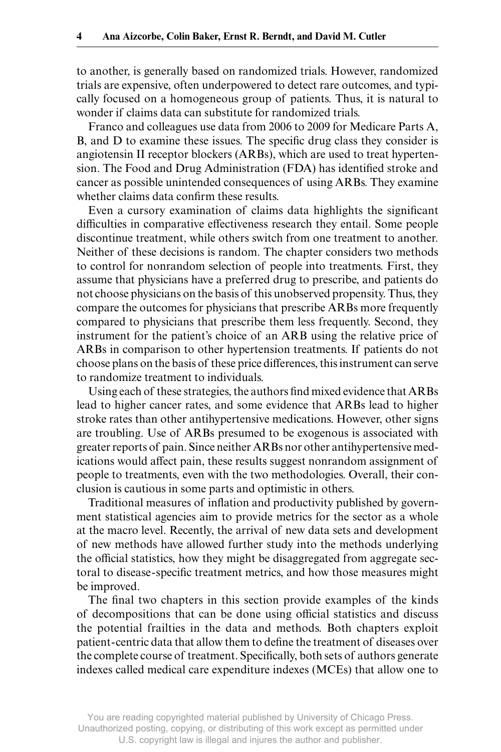to another, is generally based on randomized trials. However, randomized trials are expensive, often underpowered to detect rare outcomes, and typically focused on a homogeneous group of patients. Thus, it is natural to wonder if claims data can substitute for randomized trials.

Franco and colleagues use data from 2006 to 2009 for Medicare Parts A, B, and D to examine these issues. The specific drug class they consider is angiotensin II receptor blockers (ARBs), which are used to treat hypertension. The Food and Drug Administration (FDA) has identified stroke and cancer as possible unintended consequences of using ARBs. They examine whether claims data confirm these results.

Even a cursory examination of claims data highlights the significant difficulties in comparative effectiveness research they entail. Some people discontinue treatment, while others switch from one treatment to another. Neither of these decisions is random. The chapter considers two methods to control for nonrandom selection of people into treatments. First, they assume that physicians have a preferred drug to prescribe, and patients do not choose physicians on the basis of this unobserved propensity. Thus, they compare the outcomes for physicians that prescribe ARBs more frequently compared to physicians that prescribe them less frequently. Second, they instrument for the patient's choice of an ARB using the relative price of ARBs in comparison to other hypertension treatments. If patients do not choose plans on the basis of these price differences, this instrument can serve to randomize treatment to individuals.

Using each of these strategies, the authors find mixed evidence that ARBs lead to higher cancer rates, and some evidence that ARBs lead to higher stroke rates than other antihypertensive medications. However, other signs are troubling. Use of ARBs presumed to be exogenous is associated with greater reports of pain. Since neither ARBs nor other antihypertensive medications would affect pain, these results suggest nonrandom assignment of people to treatments, even with the two methodologies. Overall, their conclusion is cautious in some parts and optimistic in others.

Traditional measures of inflation and productivity published by government statistical agencies aim to provide metrics for the sector as a whole at the macro level. Recently, the arrival of new data sets and development of new methods have allowed further study into the methods underlying the official statistics, how they might be disaggregated from aggregate sectoral to disease-specific treatment metrics, and how those measures might be improved.

The final two chapters in this section provide examples of the kinds of decompositions that can be done using official statistics and discuss the potential frailties in the data and methods. Both chapters exploit patient-centric data that allow them to define the treatment of diseases over the complete course of treatment. Specifically, both sets of authors generate indexes called medical care expenditure indexes (MCEs) that allow one to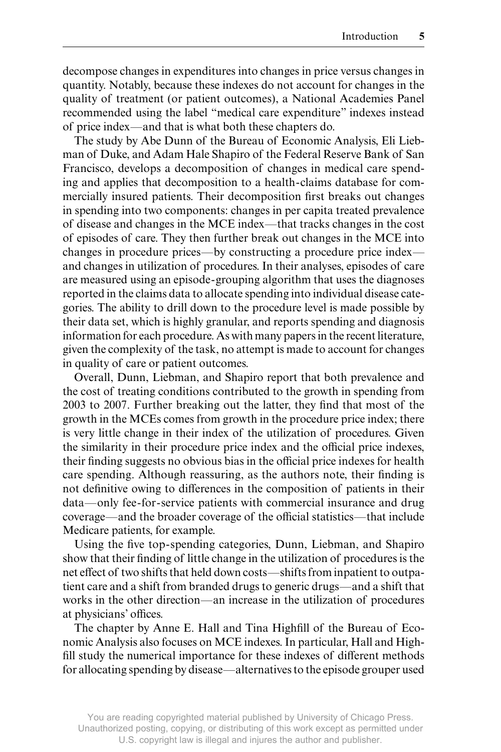decompose changes in expenditures into changes in price versus changes in quantity. Notably, because these indexes do not account for changes in the quality of treatment (or patient outcomes), a National Academies Panel recommended using the label "medical care expenditure" indexes instead of price index—and that is what both these chapters do.

The study by Abe Dunn of the Bureau of Economic Analysis, Eli Liebman of Duke, and Adam Hale Shapiro of the Federal Reserve Bank of San Francisco, develops a decomposition of changes in medical care spending and applies that decomposition to a health- claims database for commercially insured patients. Their decomposition first breaks out changes in spending into two components: changes in per capita treated prevalence of disease and changes in the MCE index—that tracks changes in the cost of episodes of care. They then further break out changes in the MCE into changes in procedure prices—by constructing a procedure price index and changes in utilization of procedures. In their analyses, episodes of care are measured using an episode- grouping algorithm that uses the diagnoses reported in the claims data to allocate spending into individual disease categories. The ability to drill down to the procedure level is made possible by their data set, which is highly granular, and reports spending and diagnosis information for each procedure. As with many papers in the recent literature, given the complexity of the task, no attempt is made to account for changes in quality of care or patient outcomes.

Overall, Dunn, Liebman, and Shapiro report that both prevalence and the cost of treating conditions contributed to the growth in spending from 2003 to 2007. Further breaking out the latter, they find that most of the growth in the MCEs comes from growth in the procedure price index; there is very little change in their index of the utilization of procedures. Given the similarity in their procedure price index and the official price indexes, their finding suggests no obvious bias in the official price indexes for health care spending. Although reassuring, as the authors note, their finding is not definitive owing to differences in the composition of patients in their data—only fee-for-service patients with commercial insurance and drug coverage—and the broader coverage of the official statistics—that include Medicare patients, for example.

Using the five top-spending categories, Dunn, Liebman, and Shapiro show that their finding of little change in the utilization of procedures is the net effect of two shifts that held down costs—shifts from inpatient to outpatient care and a shift from branded drugs to generic drugs—and a shift that works in the other direction—an increase in the utilization of procedures at physicians' offices.

The chapter by Anne E. Hall and Tina Highfill of the Bureau of Economic Analysis also focuses on MCE indexes. In particular, Hall and Highfill study the numerical importance for these indexes of different methods for allocating spending by disease—alternatives to the episode grouper used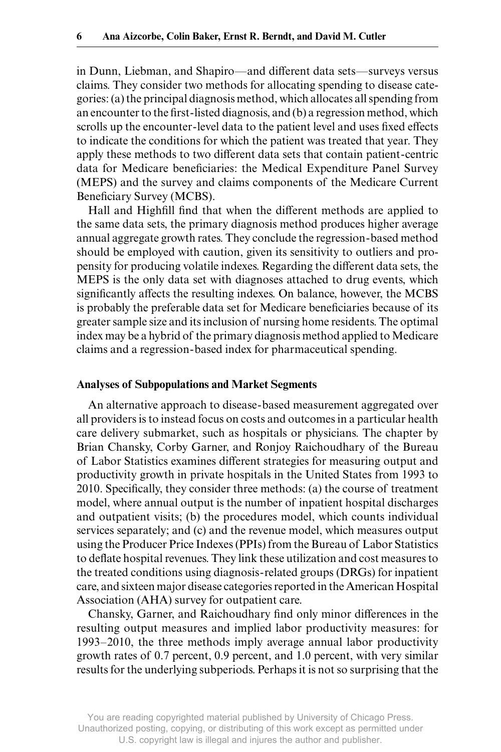in Dunn, Liebman, and Shapiro—and different data sets—surveys versus claims. They consider two methods for allocating spending to disease categories: (a) the principal diagnosis method, which allocates all spending from an encounter to the first-listed diagnosis, and (b) a regression method, which scrolls up the encounter-level data to the patient level and uses fixed effects to indicate the conditions for which the patient was treated that year. They apply these methods to two different data sets that contain patient-centric data for Medicare beneficiaries: the Medical Expenditure Panel Survey (MEPS) and the survey and claims components of the Medicare Current Beneficiary Survey (MCBS).

Hall and Highfill find that when the different methods are applied to the same data sets, the primary diagnosis method produces higher average annual aggregate growth rates. They conclude the regression- based method should be employed with caution, given its sensitivity to outliers and propensity for producing volatile indexes. Regarding the different data sets, the MEPS is the only data set with diagnoses attached to drug events, which significantly affects the resulting indexes. On balance, however, the MCBS is probably the preferable data set for Medicare beneficiaries because of its greater sample size and its inclusion of nursing home residents. The optimal index may be a hybrid of the primary diagnosis method applied to Medicare claims and a regression- based index for pharmaceutical spending.

#### **Analyses of Subpopulations and Market Segments**

An alternative approach to disease- based measurement aggregated over all providers is to instead focus on costs and outcomes in a particular health care delivery submarket, such as hospitals or physicians. The chapter by Brian Chansky, Corby Garner, and Ronjoy Raichoudhary of the Bureau of Labor Statistics examines different strategies for measuring output and productivity growth in private hospitals in the United States from 1993 to 2010. Specifically, they consider three methods: (a) the course of treatment model, where annual output is the number of inpatient hospital discharges and outpatient visits; (b) the procedures model, which counts individual services separately; and (c) and the revenue model, which measures output using the Producer Price Indexes (PPIs) from the Bureau of Labor Statistics to deflate hospital revenues. They link these utilization and cost measures to the treated conditions using diagnosis- related groups (DRGs) for inpatient care, and sixteen major disease categories reported in the American Hospital Association (AHA) survey for outpatient care.

Chansky, Garner, and Raichoudhary find only minor differences in the resulting output measures and implied labor productivity measures: for 1993–2010, the three methods imply average annual labor productivity growth rates of 0.7 percent, 0.9 percent, and 1.0 percent, with very similar results for the underlying subperiods. Perhaps it is not so surprising that the

You are reading copyrighted material published by University of Chicago Press. Unauthorized posting, copying, or distributing of this work except as permitted under U.S. copyright law is illegal and injures the author and publisher.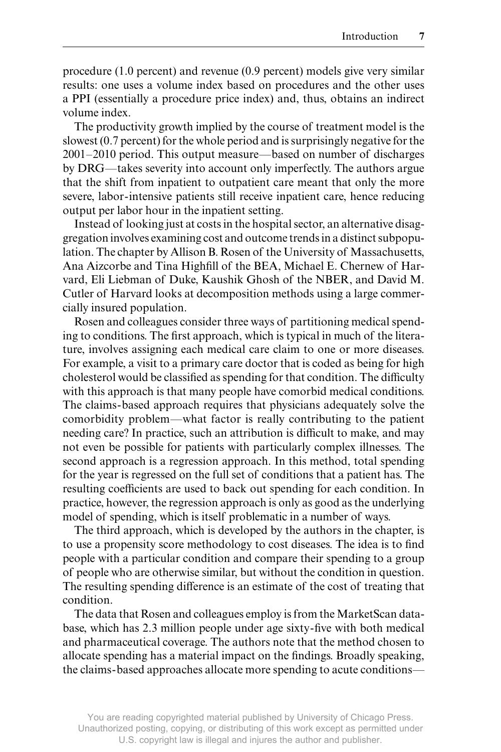procedure (1.0 percent) and revenue (0.9 percent) models give very similar results: one uses a volume index based on procedures and the other uses a PPI (essentially a procedure price index) and, thus, obtains an indirect volume index.

The productivity growth implied by the course of treatment model is the slowest (0.7 percent) for the whole period and is surprisingly negative for the 2001–2010 period. This output measure—based on number of discharges by DRG—takes severity into account only imperfectly. The authors argue that the shift from inpatient to outpatient care meant that only the more severe, labor- intensive patients still receive inpatient care, hence reducing output per labor hour in the inpatient setting.

Instead of looking just at costs in the hospital sector, an alternative disaggregation involves examining cost and outcome trends in a distinct subpopulation. The chapter by Allison B. Rosen of the University of Massachusetts, Ana Aizcorbe and Tina Highfill of the BEA, Michael E. Chernew of Harvard, Eli Liebman of Duke, Kaushik Ghosh of the NBER, and David M. Cutler of Harvard looks at decomposition methods using a large commercially insured population.

Rosen and colleagues consider three ways of partitioning medical spending to conditions. The first approach, which is typical in much of the literature, involves assigning each medical care claim to one or more diseases. For example, a visit to a primary care doctor that is coded as being for high cholesterol would be classified as spending for that condition. The difficulty with this approach is that many people have comorbid medical conditions. The claims- based approach requires that physicians adequately solve the comorbidity problem—what factor is really contributing to the patient needing care? In practice, such an attribution is difficult to make, and may not even be possible for patients with particularly complex illnesses. The second approach is a regression approach. In this method, total spending for the year is regressed on the full set of conditions that a patient has. The resulting coefficients are used to back out spending for each condition. In practice, however, the regression approach is only as good as the underlying model of spending, which is itself problematic in a number of ways.

The third approach, which is developed by the authors in the chapter, is to use a propensity score methodology to cost diseases. The idea is to find people with a particular condition and compare their spending to a group of people who are otherwise similar, but without the condition in question. The resulting spending difference is an estimate of the cost of treating that condition.

The data that Rosen and colleagues employ is from the MarketScan database, which has 2.3 million people under age sixty-five with both medical and pharmaceutical coverage. The authors note that the method chosen to allocate spending has a material impact on the findings. Broadly speaking, the claims- based approaches allocate more spending to acute conditions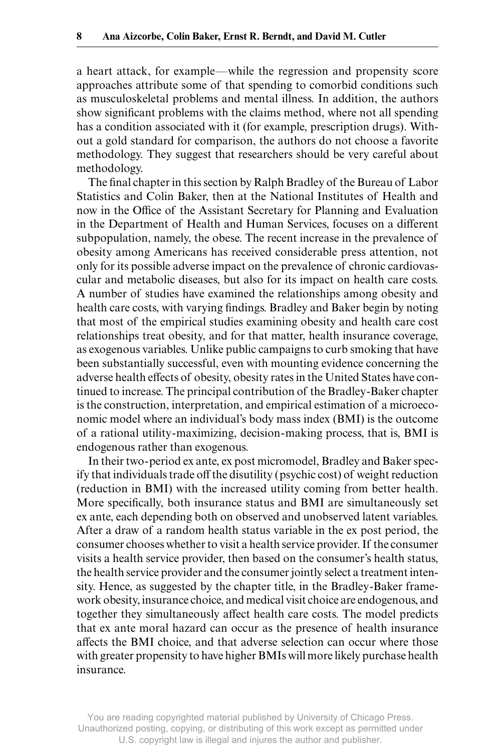a heart attack, for example—while the regression and propensity score approaches attribute some of that spending to comorbid conditions such as musculoskeletal problems and mental illness. In addition, the authors show significant problems with the claims method, where not all spending has a condition associated with it (for example, prescription drugs). Without a gold standard for comparison, the authors do not choose a favorite methodology. They suggest that researchers should be very careful about methodology.

The final chapter in this section by Ralph Bradley of the Bureau of Labor Statistics and Colin Baker, then at the National Institutes of Health and now in the Office of the Assistant Secretary for Planning and Evaluation in the Department of Health and Human Services, focuses on a different subpopulation, namely, the obese. The recent increase in the prevalence of obesity among Americans has received considerable press attention, not only for its possible adverse impact on the prevalence of chronic cardiovascular and metabolic diseases, but also for its impact on health care costs. A number of studies have examined the relationships among obesity and health care costs, with varying findings. Bradley and Baker begin by noting that most of the empirical studies examining obesity and health care cost relationships treat obesity, and for that matter, health insurance coverage, as exogenous variables. Unlike public campaigns to curb smoking that have been substantially successful, even with mounting evidence concerning the adverse health effects of obesity, obesity rates in the United States have continued to increase. The principal contribution of the Bradley- Baker chapter is the construction, interpretation, and empirical estimation of a microeconomic model where an individual's body mass index (BMI) is the outcome of a rational utility- maximizing, decision- making process, that is, BMI is endogenous rather than exogenous.

In their two- period ex ante, ex post micromodel, Bradley and Baker specify that individuals trade off the disutility (psychic cost) of weight reduction (reduction in BMI) with the increased utility coming from better health. More specifically, both insurance status and BMI are simultaneously set ex ante, each depending both on observed and unobserved latent variables. After a draw of a random health status variable in the ex post period, the consumer chooses whether to visit a health service provider. If the consumer visits a health service provider, then based on the consumer's health status, the health service provider and the consumer jointly select a treatment intensity. Hence, as suggested by the chapter title, in the Bradley-Baker framework obesity, insurance choice, and medical visit choice are endogenous, and together they simultaneously affect health care costs. The model predicts that ex ante moral hazard can occur as the presence of health insurance affects the BMI choice, and that adverse selection can occur where those with greater propensity to have higher BMIs will more likely purchase health insurance.

You are reading copyrighted material published by University of Chicago Press. Unauthorized posting, copying, or distributing of this work except as permitted under U.S. copyright law is illegal and injures the author and publisher.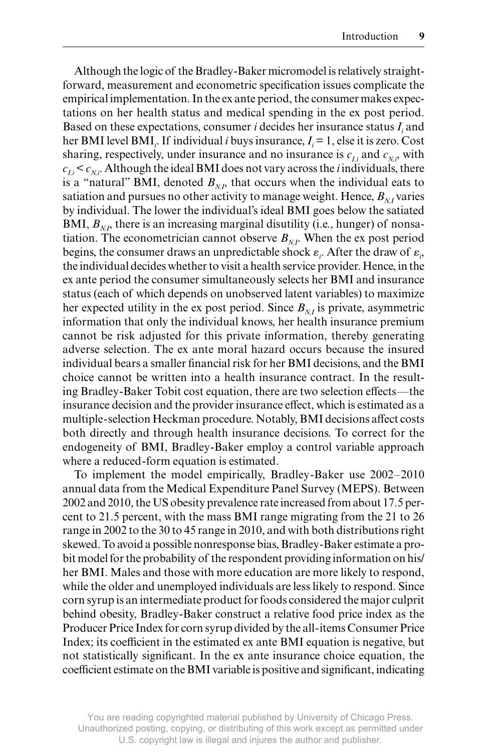Although the logic of the Bradley- Baker micromodel is relatively straightforward, measurement and econometric specification issues complicate the empirical implementation. In the ex ante period, the consumer makes expectations on her health status and medical spending in the ex post period. Based on these expectations, consumer  $i$  decides her insurance status  $I_i$  and her BMI level BMI<sub>*i*</sub>. If individual *i* buys insurance,  $I_i = 1$ , else it is zero. Cost sharing, respectively, under insurance and no insurance is  $c_{I_i}$  and  $c_{N_i}$ , with  $c_{I_i} < c_{N_i}$ . Although the ideal BMI does not vary across the *i* individuals, there is a "natural" BMI, denoted  $B_{N}$ , that occurs when the individual eats to satiation and pursues no other activity to manage weight. Hence,  $B_{N}$  varies by individual. The lower the individual's ideal BMI goes below the satiated BMI,  $B_{N}$ , there is an increasing marginal disutility (i.e., hunger) of nonsatiation. The econometrician cannot observe  $B_{N,L}$ . When the ex post period begins, the consumer draws an unpredictable shock  $\varepsilon_i$ . After the draw of  $\varepsilon_i$ , the individual decides whether to visit a health service provider. Hence, in the ex ante period the consumer simultaneously selects her BMI and insurance status (each of which depends on unobserved latent variables) to maximize her expected utility in the ex post period. Since  $B_{N}$  is private, asymmetric information that only the individual knows, her health insurance premium cannot be risk adjusted for this private information, thereby generating adverse selection. The ex ante moral hazard occurs because the insured individual bears a smaller financial risk for her BMI decisions, and the BMI choice cannot be written into a health insurance contract. In the resulting Bradley-Baker Tobit cost equation, there are two selection effects—the insurance decision and the provider insurance effect, which is estimated as a multiple-selection Heckman procedure. Notably, BMI decisions affect costs both directly and through health insurance decisions. To correct for the endogeneity of BMI, Bradley-Baker employ a control variable approach where a reduced-form equation is estimated.

To implement the model empirically, Bradley- Baker use 2002–2010 annual data from the Medical Expenditure Panel Survey (MEPS). Between 2002 and 2010, the US obesity prevalence rate increased from about 17.5 percent to 21.5 percent, with the mass BMI range migrating from the 21 to 26 range in 2002 to the 30 to 45 range in 2010, and with both distributions right skewed. To avoid a possible nonresponse bias, Bradley- Baker estimate a probit model for the probability of the respondent providing information on his/ her BMI. Males and those with more education are more likely to respond, while the older and unemployed individuals are less likely to respond. Since corn syrup is an intermediate product for foods considered the major culprit behind obesity, Bradley-Baker construct a relative food price index as the Producer Price Index for corn syrup divided by the all- items Consumer Price Index; its coefficient in the estimated ex ante BMI equation is negative, but not statistically significant. In the ex ante insurance choice equation, the coefficient estimate on the BMI variable is positive and significant, indicating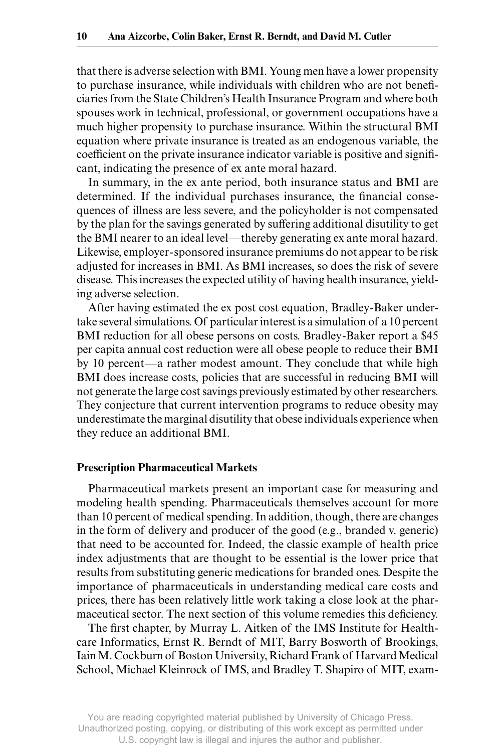that there is adverse selection with BMI. Young men have a lower propensity to purchase insurance, while individuals with children who are not beneficiaries from the State Children's Health Insurance Program and where both spouses work in technical, professional, or government occupations have a much higher propensity to purchase insurance. Within the structural BMI equation where private insurance is treated as an endogenous variable, the coefficient on the private insurance indicator variable is positive and significant, indicating the presence of ex ante moral hazard.

In summary, in the ex ante period, both insurance status and BMI are determined. If the individual purchases insurance, the financial consequences of illness are less severe, and the policyholder is not compensated by the plan for the savings generated by suffering additional disutility to get the BMI nearer to an ideal level—thereby generating ex ante moral hazard. Likewise, employer- sponsored insurance premiums do not appear to be risk adjusted for increases in BMI. As BMI increases, so does the risk of severe disease. This increases the expected utility of having health insurance, yielding adverse selection.

After having estimated the ex post cost equation, Bradley-Baker undertake several simulations. Of particular interest is a simulation of a 10 percent BMI reduction for all obese persons on costs. Bradley-Baker report a \$45 per capita annual cost reduction were all obese people to reduce their BMI by 10 percent—a rather modest amount. They conclude that while high BMI does increase costs, policies that are successful in reducing BMI will not generate the large cost savings previously estimated by other researchers. They conjecture that current intervention programs to reduce obesity may underestimate the marginal disutility that obese individuals experience when they reduce an additional BMI.

#### **Prescription Pharmaceutical Markets**

Pharmaceutical markets present an important case for measuring and modeling health spending. Pharmaceuticals themselves account for more than 10 percent of medical spending. In addition, though, there are changes in the form of delivery and producer of the good (e.g., branded v. generic) that need to be accounted for. Indeed, the classic example of health price index adjustments that are thought to be essential is the lower price that results from substituting generic medications for branded ones. Despite the importance of pharmaceuticals in understanding medical care costs and prices, there has been relatively little work taking a close look at the pharmaceutical sector. The next section of this volume remedies this deficiency.

The first chapter, by Murray L. Aitken of the IMS Institute for Healthcare Informatics, Ernst R. Berndt of MIT, Barry Bosworth of Brookings, Iain M. Cockburn of Boston University, Richard Frank of Harvard Medical School, Michael Kleinrock of IMS, and Bradley T. Shapiro of MIT, exam-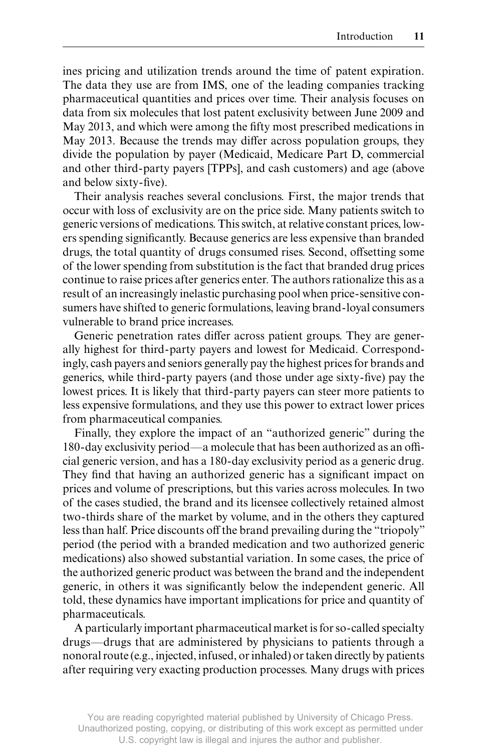ines pricing and utilization trends around the time of patent expiration. The data they use are from IMS, one of the leading companies tracking pharmaceutical quantities and prices over time. Their analysis focuses on data from six molecules that lost patent exclusivity between June 2009 and May 2013, and which were among the fifty most prescribed medications in May 2013. Because the trends may differ across population groups, they divide the population by payer (Medicaid, Medicare Part D, commercial and other third- party payers [TPPs], and cash customers) and age (above and below sixty-five).

Their analysis reaches several conclusions. First, the major trends that occur with loss of exclusivity are on the price side. Many patients switch to generic versions of medications. This switch, at relative constant prices, lowers spending significantly. Because generics are less expensive than branded drugs, the total quantity of drugs consumed rises. Second, offsetting some of the lower spending from substitution is the fact that branded drug prices continue to raise prices after generics enter. The authors rationalize this as a result of an increasingly inelastic purchasing pool when price- sensitive consumers have shifted to generic formulations, leaving brand- loyal consumers vulnerable to brand price increases.

Generic penetration rates differ across patient groups. They are generally highest for third- party payers and lowest for Medicaid. Correspondingly, cash payers and seniors generally pay the highest prices for brands and generics, while third-party payers (and those under age sixty-five) pay the lowest prices. It is likely that third- party payers can steer more patients to less expensive formulations, and they use this power to extract lower prices from pharmaceutical companies.

Finally, they explore the impact of an "authorized generic" during the 180-day exclusivity period—a molecule that has been authorized as an official generic version, and has a 180- day exclusivity period as a generic drug. They find that having an authorized generic has a significant impact on prices and volume of prescriptions, but this varies across molecules. In two of the cases studied, the brand and its licensee collectively retained almost two- thirds share of the market by volume, and in the others they captured less than half. Price discounts off the brand prevailing during the "triopoly" period (the period with a branded medication and two authorized generic medications) also showed substantial variation. In some cases, the price of the authorized generic product was between the brand and the independent generic, in others it was significantly below the independent generic. All told, these dynamics have important implications for price and quantity of pharmaceuticals.

A particularly important pharmaceutical market is for so- called specialty drugs—drugs that are administered by physicians to patients through a nonoral route (e.g., injected, infused, or inhaled) or taken directly by patients after requiring very exacting production processes. Many drugs with prices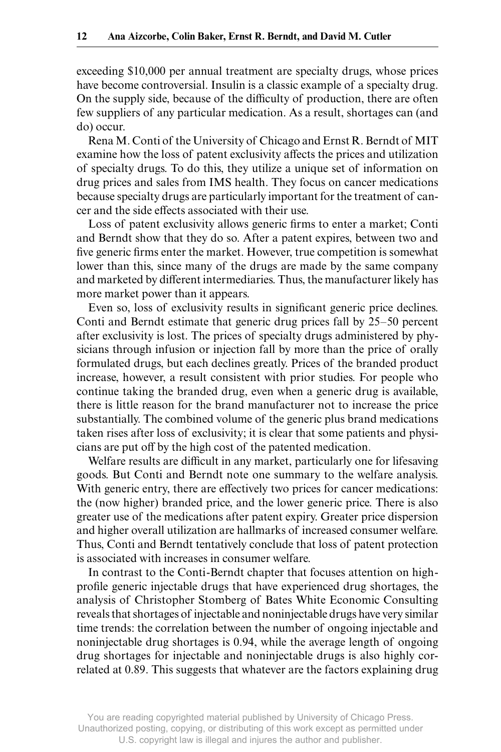exceeding \$10,000 per annual treatment are specialty drugs, whose prices have become controversial. Insulin is a classic example of a specialty drug. On the supply side, because of the difficulty of production, there are often few suppliers of any particular medication. As a result, shortages can (and do) occur.

Rena M. Conti of the University of Chicago and Ernst R. Berndt of MIT examine how the loss of patent exclusivity affects the prices and utilization of specialty drugs. To do this, they utilize a unique set of information on drug prices and sales from IMS health. They focus on cancer medications because specialty drugs are particularly important for the treatment of cancer and the side effects associated with their use.

Loss of patent exclusivity allows generic firms to enter a market; Conti and Berndt show that they do so. After a patent expires, between two and five generic firms enter the market. However, true competition is somewhat lower than this, since many of the drugs are made by the same company and marketed by different intermediaries. Thus, the manufacturer likely has more market power than it appears.

Even so, loss of exclusivity results in significant generic price declines. Conti and Berndt estimate that generic drug prices fall by 25–50 percent after exclusivity is lost. The prices of specialty drugs administered by physicians through infusion or injection fall by more than the price of orally formulated drugs, but each declines greatly. Prices of the branded product increase, however, a result consistent with prior studies. For people who continue taking the branded drug, even when a generic drug is available, there is little reason for the brand manufacturer not to increase the price substantially. The combined volume of the generic plus brand medications taken rises after loss of exclusivity; it is clear that some patients and physicians are put off by the high cost of the patented medication.

Welfare results are difficult in any market, particularly one for lifesaving goods. But Conti and Berndt note one summary to the welfare analysis. With generic entry, there are effectively two prices for cancer medications: the (now higher) branded price, and the lower generic price. There is also greater use of the medications after patent expiry. Greater price dispersion and higher overall utilization are hallmarks of increased consumer welfare. Thus, Conti and Berndt tentatively conclude that loss of patent protection is associated with increases in consumer welfare.

In contrast to the Conti- Berndt chapter that focuses attention on highprofile generic injectable drugs that have experienced drug shortages, the analysis of Christopher Stomberg of Bates White Economic Consulting reveals that shortages of injectable and noninjectable drugs have very similar time trends: the correlation between the number of ongoing injectable and noninjectable drug shortages is 0.94, while the average length of ongoing drug shortages for injectable and noninjectable drugs is also highly correlated at 0.89. This suggests that whatever are the factors explaining drug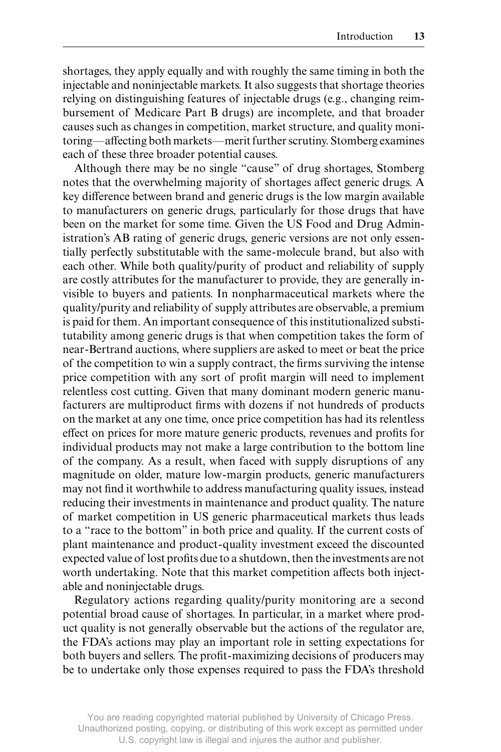shortages, they apply equally and with roughly the same timing in both the injectable and noninjectable markets. It also suggests that shortage theories relying on distinguishing features of injectable drugs (e.g., changing reimbursement of Medicare Part B drugs) are incomplete, and that broader causes such as changes in competition, market structure, and quality monitoring—affecting both markets—merit further scrutiny. Stomberg examines each of these three broader potential causes.

Although there may be no single "cause" of drug shortages, Stomberg notes that the overwhelming majority of shortages affect generic drugs. A key difference between brand and generic drugs is the low margin available to manufacturers on generic drugs, particularly for those drugs that have been on the market for some time. Given the US Food and Drug Administration's AB rating of generic drugs, generic versions are not only essentially perfectly substitutable with the same- molecule brand, but also with each other. While both quality/purity of product and reliability of supply are costly attributes for the manufacturer to provide, they are generally invisible to buyers and patients. In nonpharmaceutical markets where the quality/purity and reliability of supply attributes are observable, a premium is paid for them. An important consequence of this institutionalized substitutability among generic drugs is that when competition takes the form of near- Bertrand auctions, where suppliers are asked to meet or beat the price of the competition to win a supply contract, the firms surviving the intense price competition with any sort of profit margin will need to implement relentless cost cutting. Given that many dominant modern generic manufacturers are multiproduct firms with dozens if not hundreds of products on the market at any one time, once price competition has had its relentless effect on prices for more mature generic products, revenues and profits for individual products may not make a large contribution to the bottom line of the company. As a result, when faced with supply disruptions of any magnitude on older, mature low-margin products, generic manufacturers may not find it worthwhile to address manufacturing quality issues, instead reducing their investments in maintenance and product quality. The nature of market competition in US generic pharmaceutical markets thus leads to a "race to the bottom" in both price and quality. If the current costs of plant maintenance and product- quality investment exceed the discounted expected value of lost profits due to a shutdown, then the investments are not worth undertaking. Note that this market competition affects both injectable and noninjectable drugs.

Regulatory actions regarding quality/purity monitoring are a second potential broad cause of shortages. In particular, in a market where product quality is not generally observable but the actions of the regulator are, the FDA's actions may play an important role in setting expectations for both buyers and sellers. The profit-maximizing decisions of producers may be to undertake only those expenses required to pass the FDA's threshold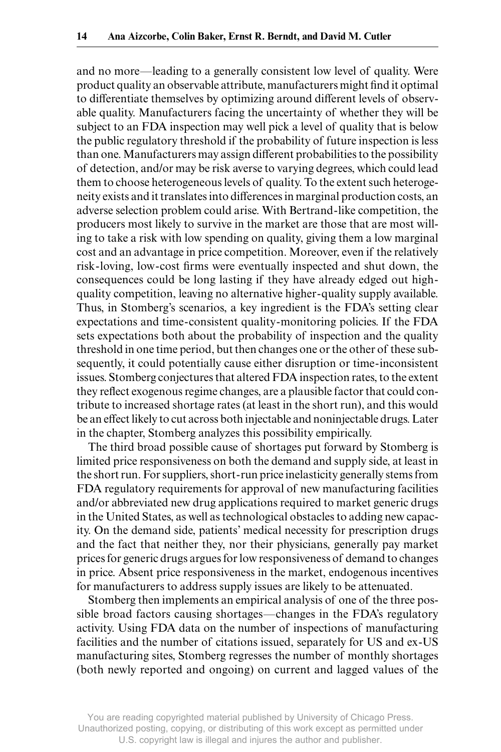and no more—leading to a generally consistent low level of quality. Were product quality an observable attribute, manufacturers might find it optimal to differentiate themselves by optimizing around different levels of observable quality. Manufacturers facing the uncertainty of whether they will be subject to an FDA inspection may well pick a level of quality that is below the public regulatory threshold if the probability of future inspection is less than one. Manufacturers may assign different probabilities to the possibility of detection, and/or may be risk averse to varying degrees, which could lead them to choose heterogeneous levels of quality. To the extent such heterogeneity exists and it translates into differences in marginal production costs, an adverse selection problem could arise. With Bertrand- like competition, the producers most likely to survive in the market are those that are most willing to take a risk with low spending on quality, giving them a low marginal cost and an advantage in price competition. Moreover, even if the relatively risk-loving, low-cost firms were eventually inspected and shut down, the consequences could be long lasting if they have already edged out highquality competition, leaving no alternative higher- quality supply available. Thus, in Stomberg's scenarios, a key ingredient is the FDA's setting clear expectations and time-consistent quality-monitoring policies. If the FDA sets expectations both about the probability of inspection and the quality threshold in one time period, but then changes one or the other of these subsequently, it could potentially cause either disruption or time- inconsistent issues. Stomberg conjectures that altered FDA inspection rates, to the extent they reflect exogenous regime changes, are a plausible factor that could contribute to increased shortage rates (at least in the short run), and this would be an effect likely to cut across both injectable and noninjectable drugs. Later in the chapter, Stomberg analyzes this possibility empirically.

The third broad possible cause of shortages put forward by Stomberg is limited price responsiveness on both the demand and supply side, at least in the short run. For suppliers, short- run price inelasticity generally stems from FDA regulatory requirements for approval of new manufacturing facilities and/or abbreviated new drug applications required to market generic drugs in the United States, as well as technological obstacles to adding new capacity. On the demand side, patients' medical necessity for prescription drugs and the fact that neither they, nor their physicians, generally pay market prices for generic drugs argues for low responsiveness of demand to changes in price. Absent price responsiveness in the market, endogenous incentives for manufacturers to address supply issues are likely to be attenuated.

Stomberg then implements an empirical analysis of one of the three possible broad factors causing shortages—changes in the FDA's regulatory activity. Using FDA data on the number of inspections of manufacturing facilities and the number of citations issued, separately for US and ex- US manufacturing sites, Stomberg regresses the number of monthly shortages (both newly reported and ongoing) on current and lagged values of the

You are reading copyrighted material published by University of Chicago Press. Unauthorized posting, copying, or distributing of this work except as permitted under U.S. copyright law is illegal and injures the author and publisher.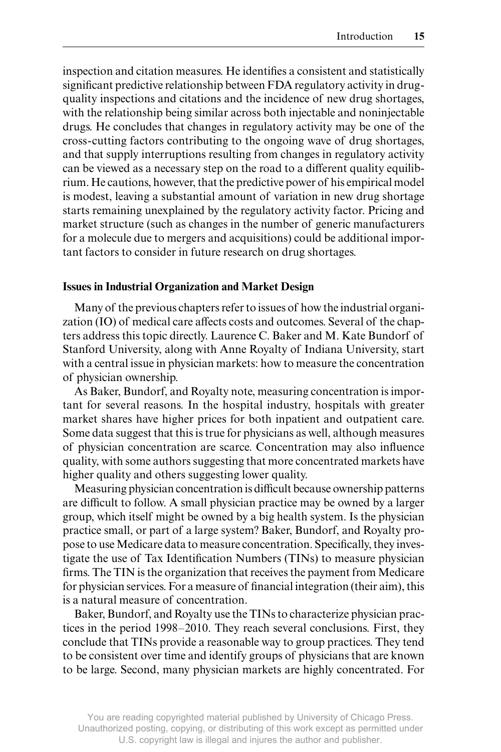inspection and citation measures. He identifies a consistent and statistically significant predictive relationship between FDA regulatory activity in drugquality inspections and citations and the incidence of new drug shortages, with the relationship being similar across both injectable and noninjectable drugs. He concludes that changes in regulatory activity may be one of the cross- cutting factors contributing to the ongoing wave of drug shortages, and that supply interruptions resulting from changes in regulatory activity can be viewed as a necessary step on the road to a different quality equilibrium. He cautions, however, that the predictive power of his empirical model is modest, leaving a substantial amount of variation in new drug shortage starts remaining unexplained by the regulatory activity factor. Pricing and market structure (such as changes in the number of generic manufacturers for a molecule due to mergers and acquisitions) could be additional important factors to consider in future research on drug shortages.

## **Issues in Industrial Organization and Market Design**

Many of the previous chapters refer to issues of how the industrial organization (IO) of medical care affects costs and outcomes. Several of the chapters address this topic directly. Laurence C. Baker and M. Kate Bundorf of Stanford University, along with Anne Royalty of Indiana University, start with a central issue in physician markets: how to measure the concentration of physician ownership.

As Baker, Bundorf, and Royalty note, measuring concentration is important for several reasons. In the hospital industry, hospitals with greater market shares have higher prices for both inpatient and outpatient care. Some data suggest that this is true for physicians as well, although measures of physician concentration are scarce. Concentration may also influence quality, with some authors suggesting that more concentrated markets have higher quality and others suggesting lower quality.

Measuring physician concentration is difficult because ownership patterns are difficult to follow. A small physician practice may be owned by a larger group, which itself might be owned by a big health system. Is the physician practice small, or part of a large system? Baker, Bundorf, and Royalty propose to use Medicare data to measure concentration. Specifically, they investigate the use of Tax Identification Numbers (TINs) to measure physician firms. The TIN is the organization that receives the payment from Medicare for physician services. For a measure of financial integration (their aim), this is a natural measure of concentration.

Baker, Bundorf, and Royalty use the TINs to characterize physician practices in the period 1998–2010. They reach several conclusions. First, they conclude that TINs provide a reasonable way to group practices. They tend to be consistent over time and identify groups of physicians that are known to be large. Second, many physician markets are highly concentrated. For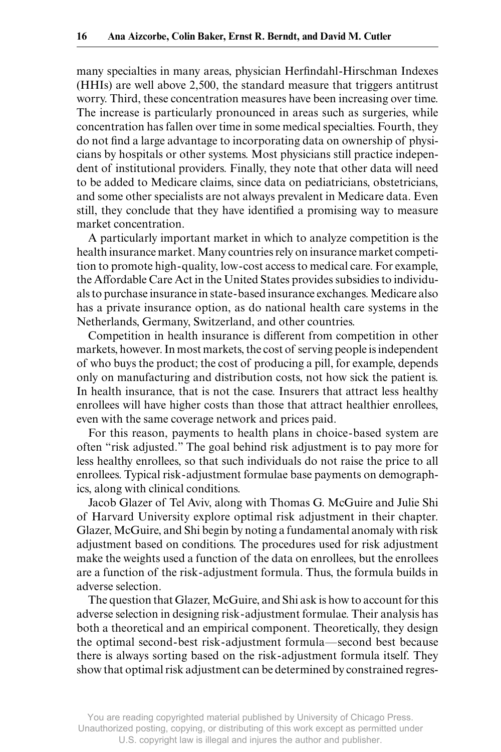many specialties in many areas, physician Herfindahl-Hirschman Indexes (HHIs) are well above 2,500, the standard measure that triggers antitrust worry. Third, these concentration measures have been increasing over time. The increase is particularly pronounced in areas such as surgeries, while concentration has fallen over time in some medical specialties. Fourth, they do not find a large advantage to incorporating data on ownership of physicians by hospitals or other systems. Most physicians still practice independent of institutional providers. Finally, they note that other data will need to be added to Medicare claims, since data on pediatricians, obstetricians, and some other specialists are not always prevalent in Medicare data. Even still, they conclude that they have identified a promising way to measure market concentration.

A particularly important market in which to analyze competition is the health insurance market. Many countries rely on insurance market competition to promote high- quality, low- cost access to medical care. For example, the Affordable Care Act in the United States provides subsidies to individuals to purchase insurance in state- based insurance exchanges. Medicare also has a private insurance option, as do national health care systems in the Netherlands, Germany, Switzerland, and other countries.

Competition in health insurance is different from competition in other markets, however. In most markets, the cost of serving people is independent of who buys the product; the cost of producing a pill, for example, depends only on manufacturing and distribution costs, not how sick the patient is. In health insurance, that is not the case. Insurers that attract less healthy enrollees will have higher costs than those that attract healthier enrollees, even with the same coverage network and prices paid.

For this reason, payments to health plans in choice- based system are often "risk adjusted." The goal behind risk adjustment is to pay more for less healthy enrollees, so that such individuals do not raise the price to all enrollees. Typical risk- adjustment formulae base payments on demographics, along with clinical conditions.

Jacob Glazer of Tel Aviv, along with Thomas G. McGuire and Julie Shi of Harvard University explore optimal risk adjustment in their chapter. Glazer, McGuire, and Shi begin by noting a fundamental anomaly with risk adjustment based on conditions. The procedures used for risk adjustment make the weights used a function of the data on enrollees, but the enrollees are a function of the risk- adjustment formula. Thus, the formula builds in adverse selection.

The question that Glazer, McGuire, and Shi ask is how to account for this adverse selection in designing risk- adjustment formulae. Their analysis has both a theoretical and an empirical component. Theoretically, they design the optimal second- best risk- adjustment formula—second best because there is always sorting based on the risk- adjustment formula itself. They show that optimal risk adjustment can be determined by constrained regres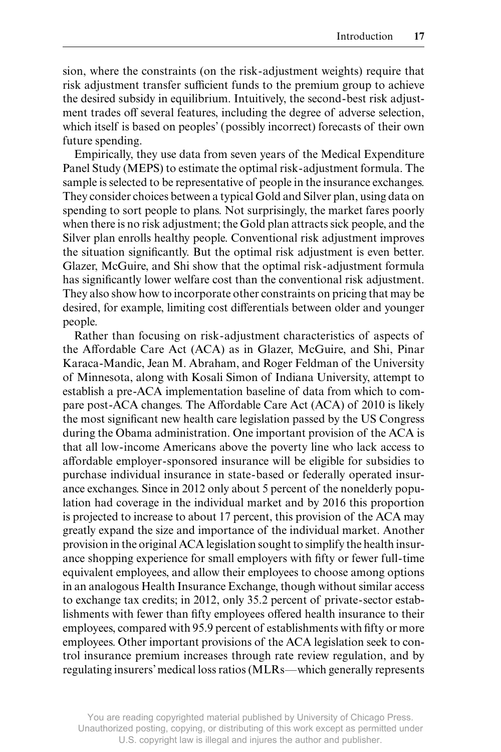sion, where the constraints (on the risk- adjustment weights) require that risk adjustment transfer sufficient funds to the premium group to achieve the desired subsidy in equilibrium. Intuitively, the second- best risk adjustment trades off several features, including the degree of adverse selection, which itself is based on peoples' (possibly incorrect) forecasts of their own future spending.

Empirically, they use data from seven years of the Medical Expenditure Panel Study (MEPS) to estimate the optimal risk- adjustment formula. The sample is selected to be representative of people in the insurance exchanges. They consider choices between a typical Gold and Silver plan, using data on spending to sort people to plans. Not surprisingly, the market fares poorly when there is no risk adjustment; the Gold plan attracts sick people, and the Silver plan enrolls healthy people. Conventional risk adjustment improves the situation significantly. But the optimal risk adjustment is even better. Glazer, McGuire, and Shi show that the optimal risk- adjustment formula has significantly lower welfare cost than the conventional risk adjustment. They also show how to incorporate other constraints on pricing that may be desired, for example, limiting cost differentials between older and younger people.

Rather than focusing on risk- adjustment characteristics of aspects of the Affordable Care Act (ACA) as in Glazer, McGuire, and Shi, Pinar Karaca- Mandic, Jean M. Abraham, and Roger Feldman of the University of Minnesota, along with Kosali Simon of Indiana University, attempt to establish a pre- ACA implementation baseline of data from which to compare post-ACA changes. The Affordable Care Act (ACA) of 2010 is likely the most significant new health care legislation passed by the US Congress during the Obama administration. One important provision of the ACA is that all low- income Americans above the poverty line who lack access to affordable employer-sponsored insurance will be eligible for subsidies to purchase individual insurance in state- based or federally operated insurance exchanges. Since in 2012 only about 5 percent of the nonelderly population had coverage in the individual market and by 2016 this proportion is projected to increase to about 17 percent, this provision of the ACA may greatly expand the size and importance of the individual market. Another provision in the original ACA legislation sought to simplify the health insurance shopping experience for small employers with fifty or fewer full-time equivalent employees, and allow their employees to choose among options in an analogous Health Insurance Exchange, though without similar access to exchange tax credits; in 2012, only 35.2 percent of private- sector establishments with fewer than fifty employees offered health insurance to their employees, compared with 95.9 percent of establishments with fifty or more employees. Other important provisions of the ACA legislation seek to control insurance premium increases through rate review regulation, and by regulating insurers' medical loss ratios (MLRs—which generally represents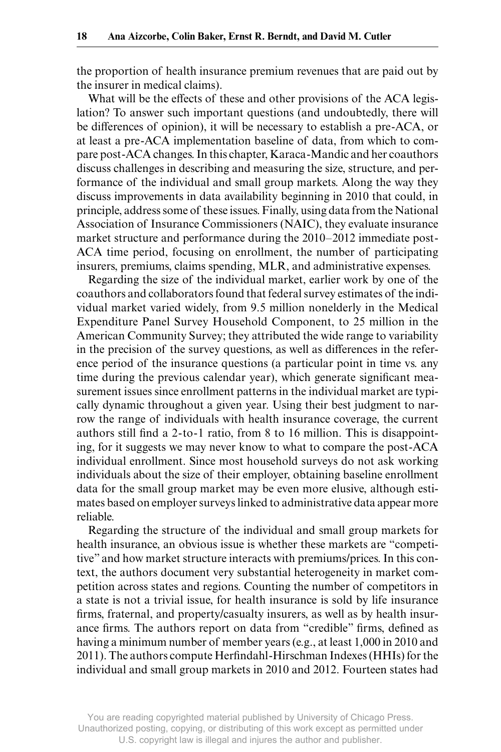the proportion of health insurance premium revenues that are paid out by the insurer in medical claims).

What will be the effects of these and other provisions of the ACA legislation? To answer such important questions (and undoubtedly, there will be differences of opinion), it will be necessary to establish a pre-ACA, or at least a pre- ACA implementation baseline of data, from which to compare post- ACA changes. In this chapter, Karaca- Mandic and her coauthors discuss challenges in describing and measuring the size, structure, and performance of the individual and small group markets. Along the way they discuss improvements in data availability beginning in 2010 that could, in principle, address some of these issues. Finally, using data from the National Association of Insurance Commissioners (NAIC), they evaluate insurance market structure and performance during the 2010–2012 immediate post-ACA time period, focusing on enrollment, the number of participating insurers, premiums, claims spending, MLR, and administrative expenses.

Regarding the size of the individual market, earlier work by one of the coauthors and collaborators found that federal survey estimates of the individual market varied widely, from 9.5 million nonelderly in the Medical Expenditure Panel Survey Household Component, to 25 million in the American Community Survey; they attributed the wide range to variability in the precision of the survey questions, as well as differences in the reference period of the insurance questions (a particular point in time vs. any time during the previous calendar year), which generate significant measurement issues since enrollment patterns in the individual market are typically dynamic throughout a given year. Using their best judgment to narrow the range of individuals with health insurance coverage, the current authors still find a  $2$ -to-1 ratio, from 8 to 16 million. This is disappointing, for it suggests we may never know to what to compare the post-ACA individual enrollment. Since most household surveys do not ask working individuals about the size of their employer, obtaining baseline enrollment data for the small group market may be even more elusive, although estimates based on employer surveys linked to administrative data appear more reliable.

Regarding the structure of the individual and small group markets for health insurance, an obvious issue is whether these markets are "competitive" and how market structure interacts with premiums/prices. In this context, the authors document very substantial heterogeneity in market competition across states and regions. Counting the number of competitors in a state is not a trivial issue, for health insurance is sold by life insurance firms, fraternal, and property/casualty insurers, as well as by health insurance firms. The authors report on data from "credible" firms, defined as having a minimum number of member years (e.g., at least 1,000 in 2010 and 2011). The authors compute Herfindahl-Hirschman Indexes (HHIs) for the individual and small group markets in 2010 and 2012. Fourteen states had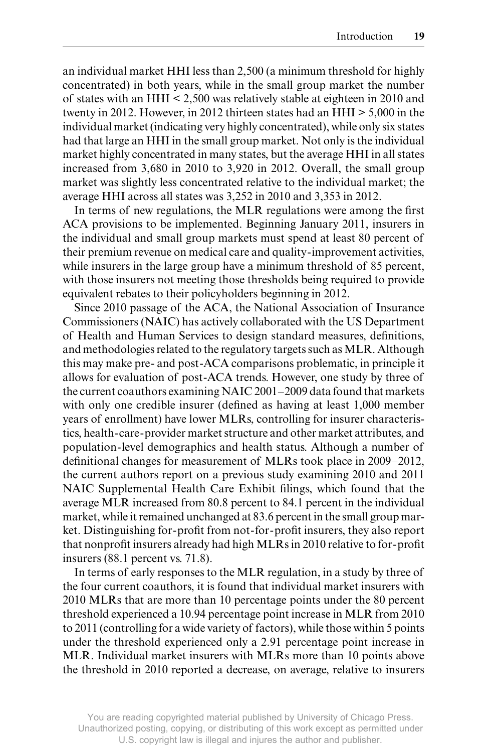an individual market HHI less than 2,500 (a minimum threshold for highly concentrated) in both years, while in the small group market the number of states with an HHI < 2,500 was relatively stable at eighteen in 2010 and twenty in 2012. However, in 2012 thirteen states had an HHI > 5,000 in the individual market (indicating very highly concentrated), while only six states had that large an HHI in the small group market. Not only is the individual market highly concentrated in many states, but the average HHI in all states increased from 3,680 in 2010 to 3,920 in 2012. Overall, the small group market was slightly less concentrated relative to the individual market; the average HHI across all states was 3,252 in 2010 and 3,353 in 2012.

In terms of new regulations, the MLR regulations were among the first ACA provisions to be implemented. Beginning January 2011, insurers in the individual and small group markets must spend at least 80 percent of their premium revenue on medical care and quality- improvement activities, while insurers in the large group have a minimum threshold of 85 percent, with those insurers not meeting those thresholds being required to provide equivalent rebates to their policyholders beginning in 2012.

Since 2010 passage of the ACA, the National Association of Insurance Commissioners (NAIC) has actively collaborated with the US Department of Health and Human Services to design standard measures, definitions, and methodologies related to the regulatory targets such as MLR. Although this may make pre- and post- ACA comparisons problematic, in principle it allows for evaluation of post-ACA trends. However, one study by three of the current coauthors examining NAIC 2001–2009 data found that markets with only one credible insurer (defined as having at least 1,000 member years of enrollment) have lower MLRs, controlling for insurer characteristics, health- care- provider market structure and other market attributes, and population- level demographics and health status. Although a number of definitional changes for measurement of MLRs took place in 2009–2012, the current authors report on a previous study examining 2010 and 2011 NAIC Supplemental Health Care Exhibit filings, which found that the average MLR increased from 80.8 percent to 84.1 percent in the individual market, while it remained unchanged at 83.6 percent in the small group market. Distinguishing for-profit from not-for-profit insurers, they also report that nonprofit insurers already had high MLRs in 2010 relative to for-profit insurers (88.1 percent vs. 71.8).

In terms of early responses to the MLR regulation, in a study by three of the four current coauthors, it is found that individual market insurers with 2010 MLRs that are more than 10 percentage points under the 80 percent threshold experienced a 10.94 percentage point increase in MLR from 2010 to 2011 (controlling for a wide variety of factors), while those within 5 points under the threshold experienced only a 2.91 percentage point increase in MLR. Individual market insurers with MLRs more than 10 points above the threshold in 2010 reported a decrease, on average, relative to insurers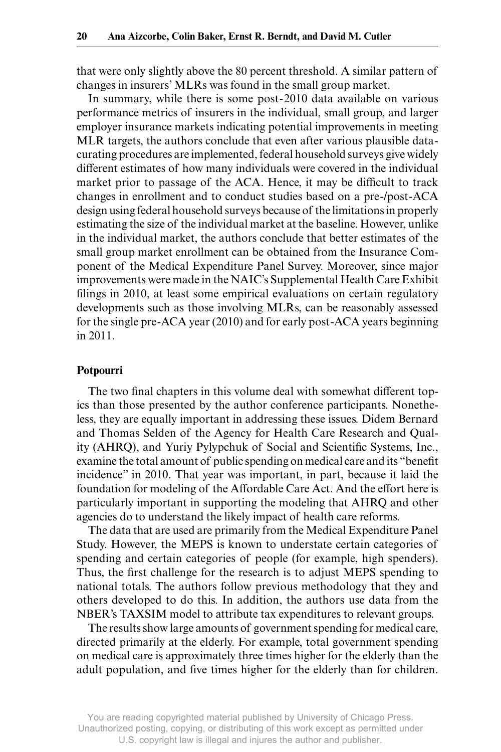that were only slightly above the 80 percent threshold. A similar pattern of changes in insurers' MLRs was found in the small group market.

In summary, while there is some post- 2010 data available on various performance metrics of insurers in the individual, small group, and larger employer insurance markets indicating potential improvements in meeting MLR targets, the authors conclude that even after various plausible datacurating procedures are implemented, federal household surveys give widely different estimates of how many individuals were covered in the individual market prior to passage of the ACA. Hence, it may be difficult to track changes in enrollment and to conduct studies based on a pre-/post-ACA design using federal household surveys because of the limitations in properly estimating the size of the individual market at the baseline. However, unlike in the individual market, the authors conclude that better estimates of the small group market enrollment can be obtained from the Insurance Component of the Medical Expenditure Panel Survey. Moreover, since major improvements were made in the NAIC's Supplemental Health Care Exhibit filings in 2010, at least some empirical evaluations on certain regulatory developments such as those involving MLRs, can be reasonably assessed for the single pre- ACA year (2010) and for early post- ACA years beginning in 2011.

#### **Potpourri**

The two final chapters in this volume deal with somewhat different topics than those presented by the author conference participants. Nonetheless, they are equally important in addressing these issues. Didem Bernard and Thomas Selden of the Agency for Health Care Research and Quality (AHRQ), and Yuriy Pylypchuk of Social and Scientific Systems, Inc., examine the total amount of public spending on medical care and its "benefit" incidence" in 2010. That year was important, in part, because it laid the foundation for modeling of the Affordable Care Act. And the effort here is particularly important in supporting the modeling that AHRQ and other agencies do to understand the likely impact of health care reforms.

The data that are used are primarily from the Medical Expenditure Panel Study. However, the MEPS is known to understate certain categories of spending and certain categories of people (for example, high spenders). Thus, the first challenge for the research is to adjust MEPS spending to national totals. The authors follow previous methodology that they and others developed to do this. In addition, the authors use data from the NBER's TAXSIM model to attribute tax expenditures to relevant groups.

The results show large amounts of government spending for medical care, directed primarily at the elderly. For example, total government spending on medical care is approximately three times higher for the elderly than the adult population, and five times higher for the elderly than for children.